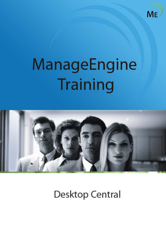

# ManageEngine Training



**Desktop Central**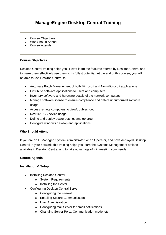# **ManageEngine Desktop Central Training**

- Course Objectives
- Who Should Attend
- Course Agenda

#### **Course Objectives**

Desktop Central training helps you IT staff learn the features offered by Desktop Central and to make them effectively use them to its fullest potential. At the end of this course, you will be able to use Desktop Central to:

- Automate Patch Management of both Microsoft and Non-Microsoft applications
- Distribute software applications to users and computers
- Inventory software and hardware details of the network computers
- Manage software license to ensure compliance and detect unauthorized software usage
- Access remote computers to view/troubleshoot
- Restrict USB device usage
- Define and deploy power settings and go green
- Configure windows desktop and applications

#### **Who Should Attend**

If you are an IT Manager, System Administrator, or an Operator, and have deployed Desktop Central in your network, this training helps you learn the Systems Management options available in Desktop Central and to take advantage of it in meeting your needs.

#### **Course Agenda**

#### **Installation & Setup**

- Installing Desktop Central
	- o System Requirements
	- o Installing the Server
- Configuring Desktop Central Server
	- o Configuring the Firewall
	- o Enabling Secure Communication
	- o User Administration
	- o Configuring Mail Server for email notifications
	- o Changing Server Ports, Communication mode, etc.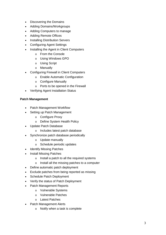- Discovering the Domains
- Adding Domains/Workgroups
- Adding Computers to manage
- Adding Remote Offices
- Installing Distribution Servers
- Configuring Agent Settings
- Installing the Agent in Client Computers
	- o From the Console
	- o Using Windows GPO
	- o Using Script
	- o Manually
- Configuring Firewall in Client Computers
	- o Enable Automatic Configuration
	- o Configure Manually
	- o Ports to be opened in the Firewall
- Verifying Agent Installation Status

#### **Patch Management**

- Patch Management Workflow
- Setting up Patch Management
	- o Configure Proxy
	- o Define System Health Policy
- Update Patch Database
	- o Includes latest patch database
- Synchronize patch database periodically
	- o Update manually
	- o Schedule periodic updates
- Identify Missing Patches
- Install Missing Patches
	- o Install a patch to all the required systems
	- o Install all the missing patches to a computer
- Define automatic patch deployment
- Exclude patches from being reported as missing
- Schedule Patch Deployment
- Verify the status of Patch Deployment
- Patch Management Reports
	- o Vulnerable Systems
	- o Vulnerable Patches
	- o Latest Patches
- Patch Management Alerts
	- o Notify when a task is complete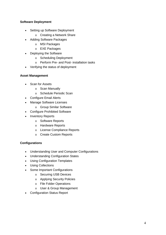## **Software Deployment**

- Setting up Software Deployment
	- o Creating a Network Share
- Adding Software Packages
	- o MSI Packages
	- o EXE Packages
- Deploying the Software
	- o Scheduling Deployment
	- o Perform Pre- and Post- installation tasks
- Verifying the status of deployment

#### **Asset Management**

- Scan for Assets
	- o Scan Manually
	- o Schedule Periodic Scan
- Configure Email Alerts
- Manage Software Licenses
- o Group Similar Software
- Configure Prohibited Software
- Inventory Reports
	- o Software Reports
	- o Hardware Reports
	- o License Compliance Reports
	- o Create Custom Reports

#### **Configurations**

- Understanding User and Computer Configurations
- Understanding Configuration States
- Using Configuration Templates
- Using Collections
- Some Important Configurations
	- o Securing USB Devices
	- o Applying Security Policies
	- o File Folder Operations
	- o User & Group Management
- Configuration Status Report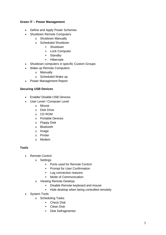#### **Green IT – Power Management**

- Define and Apply Power Schemes
- Shutdown Remote Computers
	- o Shutdown Manually
	- o Scheduled Shutdown
		- **-** Shutdown
		- **-** Lock Computer
		- **Standby**
		- Hibernate
- Shutdown computers in specific Custom Groups
- Wake up Remote Computers
	- o Manually
	- o Scheduled Wake up
- Power Management Report

#### **Securing USB Devices**

- Enable/ Disable USB Devices
- User Level / Computer Level
	- o Mouse
	- o Disk Drive
	- o CD ROM
	- o Portable Devices
	- o Floppy Disk
	- o Bluetooth
	- o Image
	- o Printer
	- o Modem

#### **Tools**

- Remote Control
	- o Settings
		- **•** Ports used for Remote Control
		- **•** Prompt for User Confirmation
		- Log connection reasons
		- Mode of Communication
	- o Viewing Remote Desktop
		- Disable Remote keyboard and mouse
		- **Hide desktop when being controlled remotely**
- System Tools
	- o Scheduling Tasks
		- **Check Disk**
		- **Clean Disk**
		- **-** Disk Defragmentor